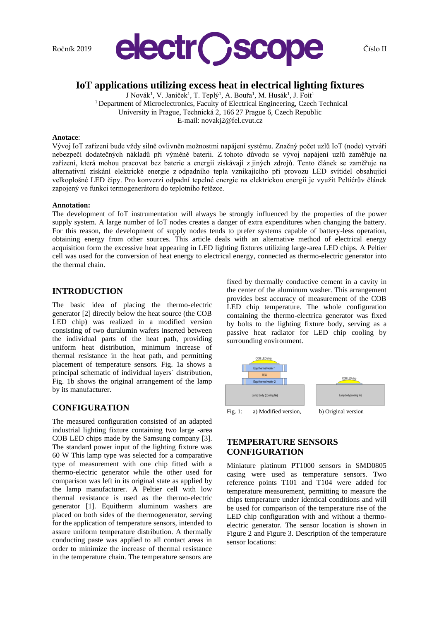

# **IoT applications utilizing excess heat in electrical lighting fixtures**

J Novák<sup>1</sup>, V. Janíček<sup>1</sup>, T. Teplý<sup>1</sup>, A. Bouřa<sup>1</sup>, M. Husák<sup>1</sup>, J. Foit<sup>1</sup> <sup>1</sup> Department of Microelectronics, Faculty of Electrical Engineering, Czech Technical University in Prague, Technická 2, 166 27 Prague 6, Czech Republic E-mail: novakj2@fel.cvut.cz

### **Anotace**:

Vývoj IoT zařízení bude vždy silně ovlivněn možnostmi napájení systému. Značný počet uzlů IoT (node) vytváří nebezpečí dodatečných nákladů při výměně baterii. Z tohoto důvodu se vývoj napájení uzlů zaměřuje na zařízení, která mohou pracovat bez baterie a energii získávají z jiných zdrojů. Tento článek se zaměřuje na alternativní získání elektrické energie z odpadního tepla vznikajícího při provozu LED svítidel obsahující velkoplošné LED čipy. Pro konverzi odpadní tepelné energie na elektrickou energii je využit Peltiérův článek zapojený ve funkci termogenerátoru do teplotního řetězce.

## **Annotation:**

The development of IoT instrumentation will always be strongly influenced by the properties of the power supply system. A large number of IoT nodes creates a danger of extra expenditures when changing the battery. For this reason, the development of supply nodes tends to prefer systems capable of battery-less operation, obtaining energy from other sources. This article deals with an alternative method of electrical energy acquisition form the excessive heat appearing in LED lighting fixtures utilizing large-area LED chips. A Peltier cell was used for the conversion of heat energy to electrical energy, connected as thermo-electric generator into the thermal chain.

## **INTRODUCTION**

The basic idea of placing the thermo-electric generator [2] directly below the heat source (the COB LED chip) was realized in a modified version consisting of two duralumin wafers inserted between the individual parts of the heat path, providing uniform heat distribution, minimum increase of thermal resistance in the heat path, and permitting placement of temperature sensors. Fig. 1a shows a principal schematic of individual layers´ distribution, Fig. 1b shows the original arrangement of the lamp by its manufacturer.

## **CONFIGURATION**

The measured configuration consisted of an adapted industrial lighting fixture containing two large -area COB LED chips made by the Samsung company [3]. The standard power input of the lighting fixture was 60 W This lamp type was selected for a comparative type of measurement with one chip fitted with a thermo-electric generator while the other used for comparison was left in its original state as applied by the lamp manufacturer. A Peltier cell with low thermal resistance is used as the thermo-electric generator [1]. Equitherm aluminum washers are placed on both sides of the thermogenerator, serving for the application of temperature sensors, intended to assure uniform temperature distribution. A thermally conducting paste was applied to all contact areas in order to minimize the increase of thermal resistance in the temperature chain. The temperature sensors are

fixed by thermally conductive cement in a cavity in the center of the aluminum washer. This arrangement provides best accuracy of measurement of the COB LED chip temperature. The whole configuration containing the thermo-electrica generator was fixed by bolts to the lighting fixture body, serving as a passive heat radiator for LED chip cooling by surrounding environment.



Fig. 1: a) Modified version, b) Original version

# **TEMPERATURE SENSORS CONFIGURATION**

Miniature platinum PT1000 sensors in SMD0805 casing were used as temperature sensors. Two reference points T101 and T104 were added for temperature measurement, permitting to measure the chips temperature under identical conditions and will be used for comparison of the temperature rise of the LED chip configuration with and without a thermoelectric generator. The sensor location is shown in Figure 2 and Figure 3. Description of the temperature sensor locations: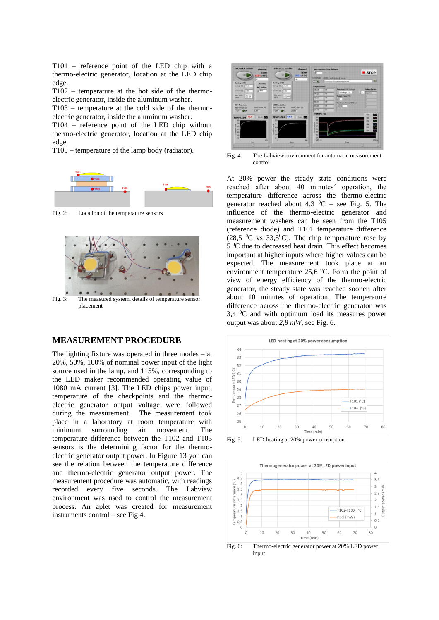T101 – reference point of the LED chip with a thermo-electric generator, location at the LED chip edge.

T102 – temperature at the hot side of the thermoelectric generator, inside the aluminum washer.

T103 – temperature at the cold side of the thermoelectric generator, inside the aluminum washer.

T104 – reference point of the LED chip without thermo-electric generator, location at the LED chip edge.

T105 – temperature of the lamp body (radiator).



Fig. 2: Location of the temperature sensors



## **MEASUREMENT PROCEDURE**

The lighting fixture was operated in three modes – at 20%, 50%, 100% of nominal power input of the light source used in the lamp, and 115%, corresponding to the LED maker recommended operating value of 1080 mA current [3]. The LED chips power input, temperature of the checkpoints and the thermoelectric generator output voltage were followed during the measurement. The measurement took place in a laboratory at room temperature with minimum surrounding air movement. The temperature difference between the T102 and T103 sensors is the determining factor for the thermoelectric generator output power. In Figure 13 you can see the relation between the temperature difference and thermo-electric generator output power. The measurement procedure was automatic, with readings recorded every five seconds. The Labview environment was used to control the measurement process. An aplet was created for measurement instruments control – see Fig 4.



Fig. 4: The Labview environment for automatic measurement control

At 20% power the steady state conditions were reached after about 40 minutes´ operation, the temperature difference across the thermo-electric generator reached about 4,3  $^{\circ}$ C – see Fig. 5. The influence of the thermo-electric generator and measurement washers can be seen from the T105 (reference diode) and T101 temperature difference (28,5  $\mathrm{^0C}$  vs 33,5 $\mathrm{^0C}$ ). The chip temperature rose by 5 <sup>0</sup>C due to decreased heat drain. This effect becomes important at higher inputs where higher values can be expected. The measurement took place at an environment temperature 25,6 <sup>0</sup>C. Form the point of view of energy efficiency of the thermo-electric generator, the steady state was reached sooner, after about 10 minutes of operation. The temperature difference across the thermo-electric generator was  $3.4 \text{ °C}$  and with optimum load its measures power output was about *2,8 mW,* see Fig. 6.



Fig. 5: LED heating at 20% power consuption



Fig. 6: Thermo-electric generator power at 20% LED power input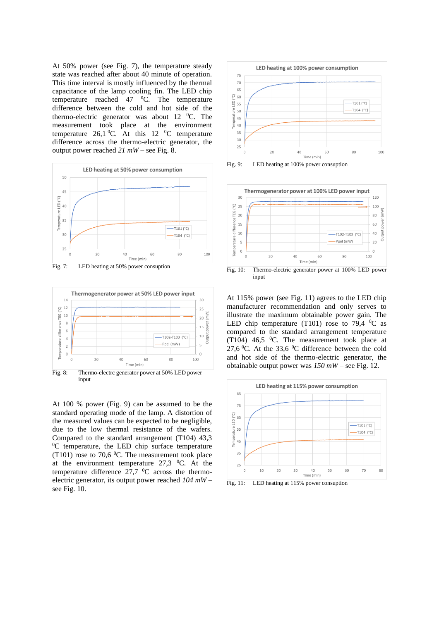At 50% power (see Fig. 7), the temperature steady state was reached after about 40 minute of operation. This time interval is mostly influenced by the thermal capacitance of the lamp cooling fin. The LED chip temperature reached  $47 \, \mathrm{^0C}$ . The temperature difference between the cold and hot side of the thermo-electric generator was about 12  $^0C$ . The measurement took place at the environment temperature 26,1 $^{0}$ C. At this 12  $^{0}$ C temperature difference across the thermo-electric generator, the output power reached *21 mW* – see Fig. 8.



Fig. 7: LED heating at 50% power consuption



input

At 100 % power (Fig. 9) can be assumed to be the standard operating mode of the lamp. A distortion of the measured values can be expected to be negligible, due to the low thermal resistance of the wafers. Compared to the standard arrangement (T104) 43,3  ${}^{0}C$  temperature, the LED chip surface temperature (T101) rose to 70,6  $^0$ C. The measurement took place at the environment temperature  $27.3$  °C. At the temperature difference  $27.7 \text{ °C}$  across the thermoelectric generator, its output power reached *104 mW* – see Fig. 10.



Fig. 9: LED heating at 100% power consuption



Fig. 10: Thermo-electric generator power at 100% LED power input

At 115% power (see Fig. 11) agrees to the LED chip manufacturer recommendation and only serves to illustrate the maximum obtainable power gain. The LED chip temperature (T101) rose to 79,4  $^0$ C as compared to the standard arrangement temperature (T104) 46,5  $\degree$ C. The measurement took place at 27,6  $\degree$ C. At the 33,6  $\degree$ C difference between the cold and hot side of the thermo-electric generator, the obtainable output power was *150 mW* – see Fig. 12.



Fig. 11: LED heating at 115% power consuption